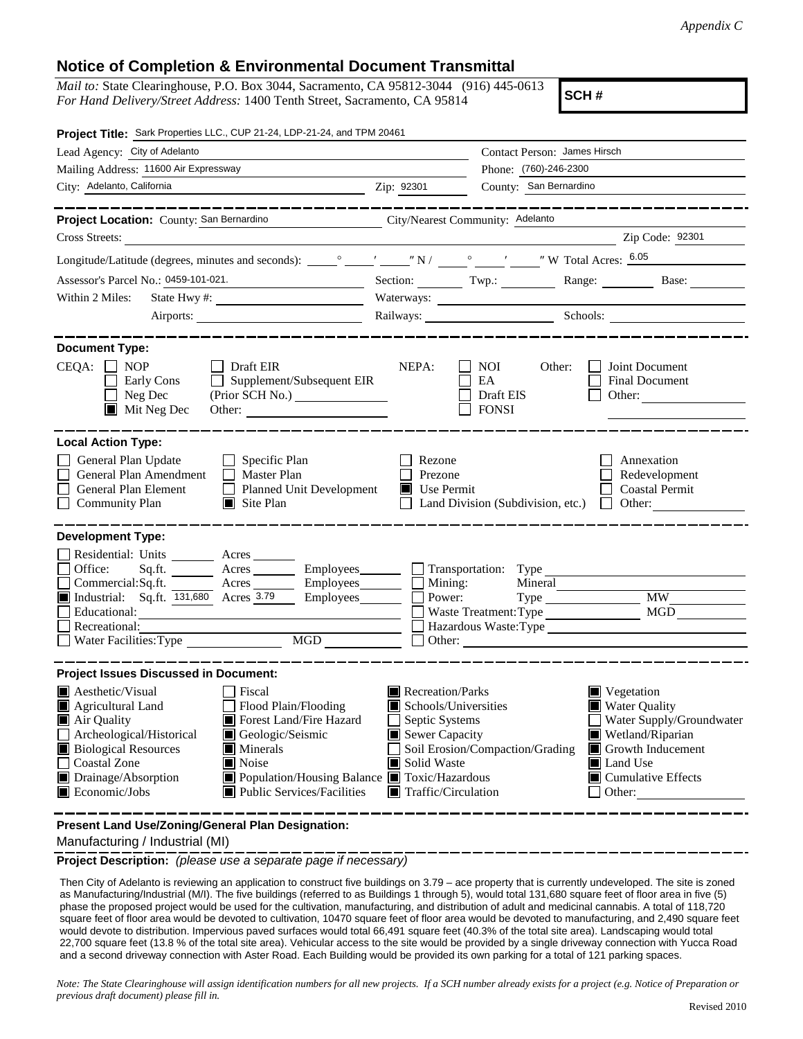## **Notice of Completion & Environmental Document Transmittal**

*Mail to:* State Clearinghouse, P.O. Box 3044, Sacramento, CA 95812-3044 (916) 445-0613 *For Hand Delivery/Street Address:* 1400 Tenth Street, Sacramento, CA 95814

**SCH #**

| Project Title: Sark Properties LLC., CUP 21-24, LDP-21-24, and TPM 20461                                                                                                                                                                                                                                                                                                                                                         |                                                                                                                                                                               |                                                   |                                                                                                                                                                                   |  |
|----------------------------------------------------------------------------------------------------------------------------------------------------------------------------------------------------------------------------------------------------------------------------------------------------------------------------------------------------------------------------------------------------------------------------------|-------------------------------------------------------------------------------------------------------------------------------------------------------------------------------|---------------------------------------------------|-----------------------------------------------------------------------------------------------------------------------------------------------------------------------------------|--|
| Lead Agency: City of Adelanto                                                                                                                                                                                                                                                                                                                                                                                                    |                                                                                                                                                                               | Contact Person: James Hirsch                      |                                                                                                                                                                                   |  |
| Mailing Address: 11600 Air Expressway                                                                                                                                                                                                                                                                                                                                                                                            |                                                                                                                                                                               | Phone: (760)-246-2300                             |                                                                                                                                                                                   |  |
| City: Adelanto, California<br>$\frac{2}{\pi}$ $\frac{2}{\pi}$ $\frac{2301}{\pi}$                                                                                                                                                                                                                                                                                                                                                 |                                                                                                                                                                               | County: San Bernardino                            |                                                                                                                                                                                   |  |
| Project Location: County: San Bernardino<br>City/Nearest Community: Adelanto                                                                                                                                                                                                                                                                                                                                                     |                                                                                                                                                                               |                                                   | -------------------                                                                                                                                                               |  |
| Cross Streets:<br><u> 1989 - Jan James Barbara, president e</u>                                                                                                                                                                                                                                                                                                                                                                  |                                                                                                                                                                               |                                                   | Zip Code: 92301                                                                                                                                                                   |  |
|                                                                                                                                                                                                                                                                                                                                                                                                                                  |                                                                                                                                                                               |                                                   |                                                                                                                                                                                   |  |
| Assessor's Parcel No.: 0459-101-021.                                                                                                                                                                                                                                                                                                                                                                                             |                                                                                                                                                                               |                                                   | Section: Twp.: Range: Base:                                                                                                                                                       |  |
| Within 2 Miles:                                                                                                                                                                                                                                                                                                                                                                                                                  |                                                                                                                                                                               | Waterways:                                        |                                                                                                                                                                                   |  |
|                                                                                                                                                                                                                                                                                                                                                                                                                                  |                                                                                                                                                                               |                                                   | Railways: Schools: Schools:                                                                                                                                                       |  |
| ___________<br><b>Document Type:</b>                                                                                                                                                                                                                                                                                                                                                                                             |                                                                                                                                                                               |                                                   |                                                                                                                                                                                   |  |
| $CEQA: \Box NP$<br>Draft EIR<br>Supplement/Subsequent EIR<br>Early Cons<br>$\Box$ Neg Dec<br>$\blacksquare$ Mit Neg Dec<br>Other:                                                                                                                                                                                                                                                                                                | NEPA:                                                                                                                                                                         | NOI.<br>Other:<br>EA<br>Draft EIS<br><b>FONSI</b> | Joint Document<br>Final Document<br>Other: $\qquad \qquad$                                                                                                                        |  |
| <b>Local Action Type:</b>                                                                                                                                                                                                                                                                                                                                                                                                        |                                                                                                                                                                               |                                                   |                                                                                                                                                                                   |  |
| General Plan Update<br>$\Box$ Specific Plan<br>General Plan Amendment<br>$\Box$ Master Plan<br>General Plan Element<br>Planned Unit Development<br>$\Box$ Site Plan<br><b>Community Plan</b>                                                                                                                                                                                                                                     | Rezone<br>Annexation<br>Prezone<br>Redevelopment<br>Use Permit<br><b>Coastal Permit</b><br>Land Division (Subdivision, etc.)<br>Other:                                        |                                                   |                                                                                                                                                                                   |  |
| <b>Development Type:</b><br>Residential: Units ________ Acres ______<br>Office:<br>Sq.ft. __________ Acres ___________ Employees________<br>Commercial:Sq.ft. The Acres<br>Industrial: Sq.ft. 131,680 Acres 3.79<br>Employees________<br>Employees________<br>Educational:<br>Recreational:<br>$\overline{MGD}$<br>Water Facilities: Type                                                                                        | $\Box$ Mining:<br>Power:                                                                                                                                                      | Mineral<br>Waste Treatment: Type                  | <b>MW</b><br>MGD                                                                                                                                                                  |  |
| <b>Project Issues Discussed in Document:</b>                                                                                                                                                                                                                                                                                                                                                                                     |                                                                                                                                                                               |                                                   |                                                                                                                                                                                   |  |
| $\blacksquare$ Aesthetic/Visual<br>Fiscal<br>Flood Plain/Flooding<br>Agricultural Land<br>Forest Land/Fire Hazard<br>Air Quality<br>Archeological/Historical<br>Geologic/Seismic<br><b>Biological Resources</b><br>$\blacksquare$ Minerals<br><b>Coastal Zone</b><br>$\blacksquare$ Noise<br>■ Population/Housing Balance ■ Toxic/Hazardous<br>Drainage/Absorption<br>$\blacksquare$ Economic/Jobs<br>Public Services/Facilities | Recreation/Parks<br>Schools/Universities<br>Septic Systems<br>$\blacksquare$ Sewer Capacity<br>Soil Erosion/Compaction/Grading<br>Solid Waste<br><b>■</b> Traffic/Circulation |                                                   | $\blacksquare$ Vegetation<br>■ Water Quality<br>Water Supply/Groundwater<br>Wetland/Riparian<br>Growth Inducement<br>Land Use<br>ш<br>$\blacksquare$ Cumulative Effects<br>Other: |  |

**Present Land Use/Zoning/General Plan Designation:**

Manufacturing / Industrial (MI)

**Project Description:** *(please use a separate page if necessary)*

Then City of Adelanto is reviewing an application to construct five buildings on 3.79 – ace property that is currently undeveloped. The site is zoned as Manufacturing/Industrial (M/I). The five buildings (referred to as Buildings 1 through 5), would total 131,680 square feet of floor area in five (5) phase the proposed project would be used for the cultivation, manufacturing, and distribution of adult and medicinal cannabis. A total of 118,720 square feet of floor area would be devoted to cultivation, 10470 square feet of floor area would be devoted to manufacturing, and 2,490 square feet would devote to distribution. Impervious paved surfaces would total 66,491 square feet (40.3% of the total site area). Landscaping would total 22,700 square feet (13.8 % of the total site area). Vehicular access to the site would be provided by a single driveway connection with Yucca Road and a second driveway connection with Aster Road. Each Building would be provided its own parking for a total of 121 parking spaces.

*Note: The State Clearinghouse will assign identification numbers for all new projects. If a SCH number already exists for a project (e.g. Notice of Preparation or previous draft document) please fill in.*